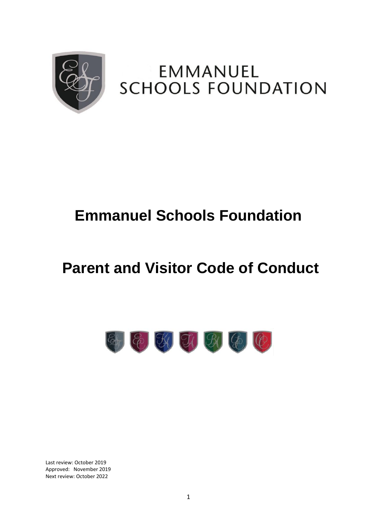

## EMMANUEL **SCHOOLS FOUNDATION**

# **Emmanuel Schools Foundation**

# **Parent and Visitor Code of Conduct**



Last review: October 2019 Approved: November 2019 Next review: October 2022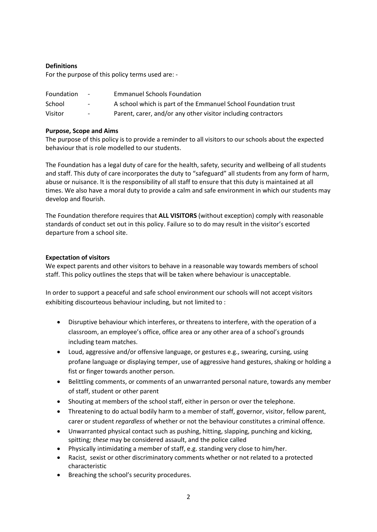#### **Definitions**

For the purpose of this policy terms used are: -

| Foundation | $\sim$ | <b>Emmanuel Schools Foundation</b>                             |
|------------|--------|----------------------------------------------------------------|
| School     | $\sim$ | A school which is part of the Emmanuel School Foundation trust |
| Visitor    | $\sim$ | Parent, carer, and/or any other visitor including contractors  |

#### **Purpose, Scope and Aims**

The purpose of this policy is to provide a reminder to all visitors to our schools about the expected behaviour that is role modelled to our students.

The Foundation has a legal duty of care for the health, safety, security and wellbeing of all students and staff. This duty of care incorporates the duty to "safeguard" all students from any form of harm, abuse or nuisance. It is the responsibility of all staff to ensure that this duty is maintained at all times. We also have a moral duty to provide a calm and safe environment in which our students may develop and flourish.

The Foundation therefore requires that **ALL VISITORS** (without exception) comply with reasonable standards of conduct set out in this policy. Failure so to do may result in the visitor's escorted departure from a school site.

#### **Expectation of visitors**

We expect parents and other visitors to behave in a reasonable way towards members of school staff. This policy outlines the steps that will be taken where behaviour is unacceptable.

In order to support a peaceful and safe school environment our schools will not accept visitors exhibiting discourteous behaviour including, but not limited to :

- Disruptive behaviour which interferes, or threatens to interfere, with the operation of a classroom, an employee's office, office area or any other area of a school's grounds including team matches.
- Loud, aggressive and/or offensive language, or gestures e.g., swearing, cursing, using profane language or displaying temper, use of aggressive hand gestures, shaking or holding a fist or finger towards another person.
- Belittling comments, or comments of an unwarranted personal nature, towards any member of staff, student or other parent
- Shouting at members of the school staff, either in person or over the telephone.
- Threatening to do actual bodily harm to a member of staff, governor, visitor, fellow parent, carer or student *regardless* of whether or not the behaviour constitutes a criminal offence.
- Unwarranted physical contact such as pushing, hitting, slapping, punching and kicking, spitting*; these* may be considered assault, and the police called
- Physically intimidating a member of staff, e.g. standing very close to him/her.
- Racist, sexist or other discriminatory comments whether or not related to a protected characteristic
- Breaching the school's security procedures.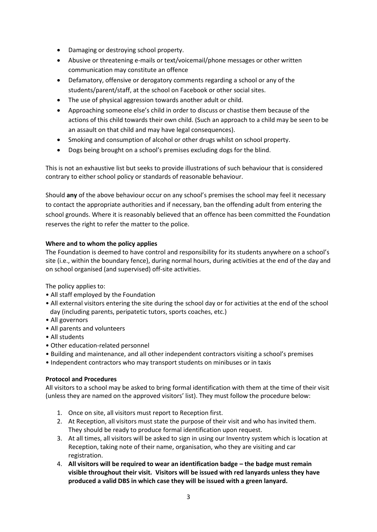- Damaging or destroying school property.
- Abusive or threatening e-mails or text/voicemail/phone messages or other written communication may constitute an offence
- Defamatory, offensive or derogatory comments regarding a school or any of the students/parent/staff, at the school on Facebook or other social sites.
- The use of physical aggression towards another adult or child.
- Approaching someone else's child in order to discuss or chastise them because of the actions of this child towards their own child. (Such an approach to a child may be seen to be an assault on that child and may have legal consequences).
- Smoking and consumption of alcohol or other drugs whilst on school property.
- Dogs being brought on a school's premises excluding dogs for the blind.

This is not an exhaustive list but seeks to provide illustrations of such behaviour that is considered contrary to either school policy or standards of reasonable behaviour.

Should **any** of the above behaviour occur on any school's premises the school may feel it necessary to contact the appropriate authorities and if necessary, ban the offending adult from entering the school grounds. Where it is reasonably believed that an offence has been committed the Foundation reserves the right to refer the matter to the police.

### **Where and to whom the policy applies**

The Foundation is deemed to have control and responsibility for its students anywhere on a school's site (i.e., within the boundary fence), during normal hours, during activities at the end of the day and on school organised (and supervised) off-site activities.

The policy applies to:

- All staff employed by the Foundation
- All external visitors entering the site during the school day or for activities at the end of the school day (including parents, peripatetic tutors, sports coaches, etc.)
- All governors
- All parents and volunteers
- All students
- Other education-related personnel
- Building and maintenance, and all other independent contractors visiting a school's premises
- Independent contractors who may transport students on minibuses or in taxis

#### **Protocol and Procedures**

All visitors to a school may be asked to bring formal identification with them at the time of their visit (unless they are named on the approved visitors' list). They must follow the procedure below:

- 1. Once on site, all visitors must report to Reception first.
- 2. At Reception, all visitors must state the purpose of their visit and who has invited them. They should be ready to produce formal identification upon request.
- 3. At all times, all visitors will be asked to sign in using our Inventry system which is location at Reception, taking note of their name, organisation, who they are visiting and car registration.
- 4. **All visitors will be required to wear an identification badge – the badge must remain visible throughout their visit. Visitors will be issued with red lanyards unless they have produced a valid DBS in which case they will be issued with a green lanyard.**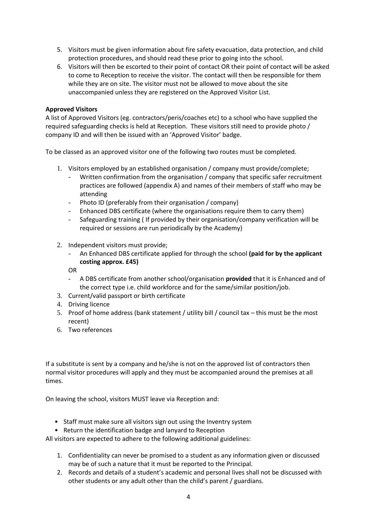- 5. Visitors must be given information about fire safety evacuation, data protection, and child protection procedures, and should read these prior to going into the school.
- 6. Visitors will then be escorted to their point of contact OR their point of contact will be asked to come to Reception to receive the visitor. The contact will then be responsible for them while they are on site. The visitor must not be allowed to move about the site unaccompanied unless they are registered on the Approved Visitor List.

### **Approved Visitors**

A list of Approved Visitors (eg. contractors/peris/coaches etc) to a school who have supplied the required safeguarding checks is held at Reception. These visitors still need to provide photo / company ID and will then be issued with an 'Approved Visitor' badge.

To be classed as an approved visitor one of the following two routes must be completed.

- 1. Visitors employed by an established organisation / company must provide/complete;
	- Written confirmation from the organisation / company that specific safer recruitment practices are followed (appendix A) and names of their members of staff who may be attending
	- Photo ID (preferably from their organisation / company)
	- Enhanced DBS certificate (where the organisations require them to carry them)
	- Safeguarding training ( If provided by their organisation/company verification will be required or sessions are run periodically by the Academy)
- 2. Independent visitors must provide;
	- An Enhanced DBS certificate applied for through the school **(paid for by the applicant costing approx. £45)**

OR

- A DBS certificate from another school/organisation **provided** that it is Enhanced and of the correct type i.e. child workforce and for the same/similar position/job.
- 3. Current/valid passport or birth certificate
- 4. Driving licence
- 5. Proof of home address (bank statement / utility bill / council tax this must be the most recent)
- 6. Two references

If a substitute is sent by a company and he/she is not on the approved list of contractors then normal visitor procedures will apply and they must be accompanied around the premises at all times.

On leaving the school, visitors MUST leave via Reception and:

- Staff must make sure all visitors sign out using the Inventry system
- Return the identification badge and lanyard to Reception

All visitors are expected to adhere to the following additional guidelines:

- 1. Confidentiality can never be promised to a student as any information given or discussed may be of such a nature that it must be reported to the Principal.
- 2. Records and details of a student's academic and personal lives shall not be discussed with other students or any adult other than the child's parent / guardians.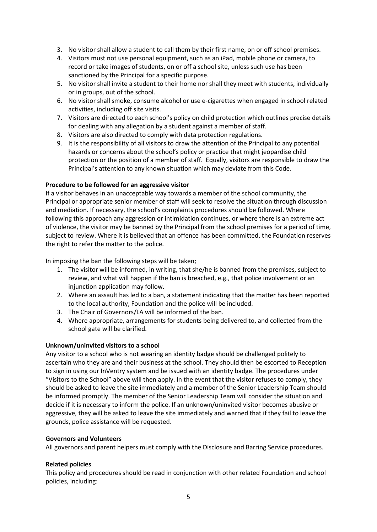- 3. No visitor shall allow a student to call them by their first name, on or off school premises.
- 4. Visitors must not use personal equipment, such as an iPad, mobile phone or camera, to record or take images of students, on or off a school site, unless such use has been sanctioned by the Principal for a specific purpose.
- 5. No visitor shall invite a student to their home nor shall they meet with students, individually or in groups, out of the school.
- 6. No visitor shall smoke, consume alcohol or use e-cigarettes when engaged in school related activities, including off site visits.
- 7. Visitors are directed to each school's policy on child protection which outlines precise details for dealing with any allegation by a student against a member of staff.
- 8. Visitors are also directed to comply with data protection regulations.
- 9. It is the responsibility of all visitors to draw the attention of the Principal to any potential hazards or concerns about the school's policy or practice that might jeopardise child protection or the position of a member of staff. Equally, visitors are responsible to draw the Principal's attention to any known situation which may deviate from this Code.

#### **Procedure to be followed for an aggressive visitor**

If a visitor behaves in an unacceptable way towards a member of the school community, the Principal or appropriate senior member of staff will seek to resolve the situation through discussion and mediation. If necessary, the school's complaints procedures should be followed. Where following this approach any aggression or intimidation continues, or where there is an extreme act of violence, the visitor may be banned by the Principal from the school premises for a period of time, subject to review. Where it is believed that an offence has been committed, the Foundation reserves the right to refer the matter to the police.

In imposing the ban the following steps will be taken;

- 1. The visitor will be informed, in writing, that she/he is banned from the premises, subject to review, and what will happen if the ban is breached, e.g., that police involvement or an injunction application may follow.
- 2. Where an assault has led to a ban, a statement indicating that the matter has been reported to the local authority, Foundation and the police will be included.
- 3. The Chair of Governors/LA will be informed of the ban.
- 4. Where appropriate, arrangements for students being delivered to, and collected from the school gate will be clarified.

#### **Unknown/uninvited visitors to a school**

Any visitor to a school who is not wearing an identity badge should be challenged politely to ascertain who they are and their business at the school. They should then be escorted to Reception to sign in using our InVentry system and be issued with an identity badge. The procedures under "Visitors to the School" above will then apply. In the event that the visitor refuses to comply, they should be asked to leave the site immediately and a member of the Senior Leadership Team should be informed promptly. The member of the Senior Leadership Team will consider the situation and decide if it is necessary to inform the police. If an unknown/uninvited visitor becomes abusive or aggressive, they will be asked to leave the site immediately and warned that if they fail to leave the grounds, police assistance will be requested.

#### **Governors and Volunteers**

All governors and parent helpers must comply with the Disclosure and Barring Service procedures.

#### **Related policies**

This policy and procedures should be read in conjunction with other related Foundation and school policies, including: